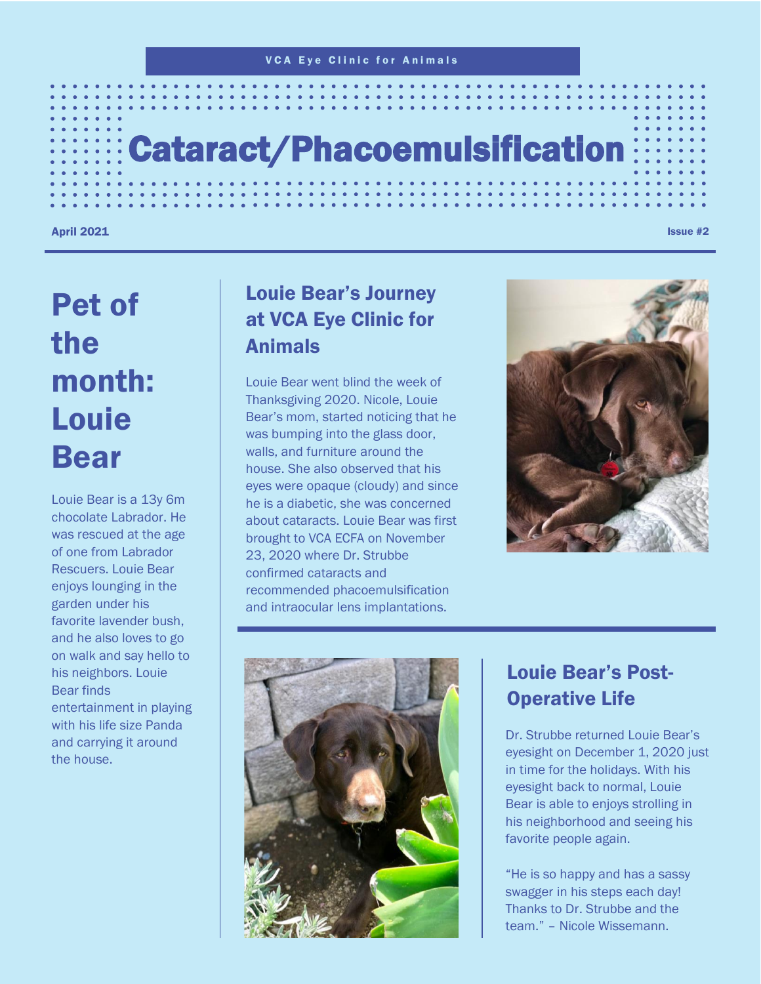# Cataract/Phacoemulsification

April 2021  $\,$  . Issue #2 $\,$ 

# Pet of the month: Louie Bear

Louie Bear is a 13y 6m chocolate Labrador. He was rescued at the age of one from Labrador Rescuers. Louie Bear enjoys lounging in the garden under his favorite lavender bush, and he also loves to go on walk and say hello to his neighbors. Louie Bear finds entertainment in playing with his life size Panda and carrying it around the house.

### Louie Bear's Journey at VCA Eye Clinic for Animals

Louie Bear went blind the week of Thanksgiving 2020. Nicole, Louie Bear's mom, started noticing that he was bumping into the glass door, walls, and furniture around the house. She also observed that his eyes were opaque (cloudy) and since he is a diabetic, she was concerned about cataracts. Louie Bear was first brought to VCA ECFA on November 23, 2020 where Dr. Strubbe confirmed cataracts and recommended phacoemulsification and intraocular lens implantations.





### Louie Bear's Post-Operative Life

Dr. Strubbe returned Louie Bear's eyesight on December 1, 2020 just in time for the holidays. With his eyesight back to normal, Louie Bear is able to enjoys strolling in his neighborhood and seeing his favorite people again.

"He is so happy and has a sassy swagger in his steps each day! Thanks to Dr. Strubbe and the team." – Nicole Wissemann.